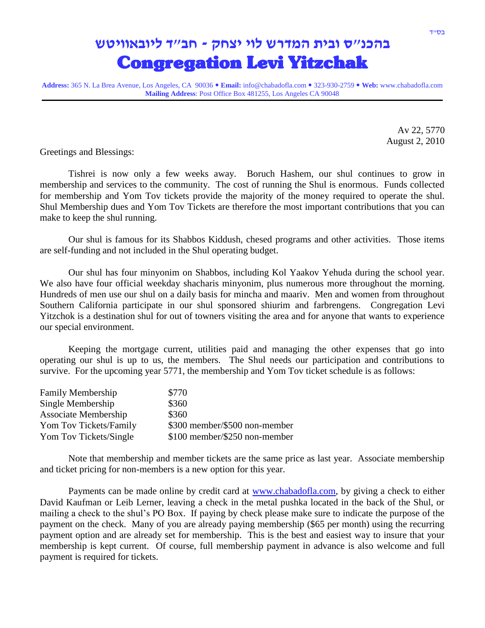## **בהכנ"ס ובית המדרש לוי יצחק - חב"ד ליובאוויטש** Congregation Levi Yitzchak

**Address:** 365 N. La Brea Avenue, Los Angeles, CA 90036 **Email:** info@chabadofla.com 323-930-2759 **Web:** www.chabadofla.com **Mailing Address**: Post Office Box 481255, Los Angeles CA 90048

> Av 22, 5770 August 2, 2010

Greetings and Blessings:

Tishrei is now only a few weeks away. Boruch Hashem, our shul continues to grow in membership and services to the community. The cost of running the Shul is enormous. Funds collected for membership and Yom Tov tickets provide the majority of the money required to operate the shul. Shul Membership dues and Yom Tov Tickets are therefore the most important contributions that you can make to keep the shul running.

Our shul is famous for its Shabbos Kiddush, chesed programs and other activities. Those items are self-funding and not included in the Shul operating budget.

Our shul has four minyonim on Shabbos, including Kol Yaakov Yehuda during the school year. We also have four official weekday shacharis minyonim, plus numerous more throughout the morning. Hundreds of men use our shul on a daily basis for mincha and maariv. Men and women from throughout Southern California participate in our shul sponsored shiurim and farbrengens. Congregation Levi Yitzchok is a destination shul for out of towners visiting the area and for anyone that wants to experience our special environment.

Keeping the mortgage current, utilities paid and managing the other expenses that go into operating our shul is up to us, the members. The Shul needs our participation and contributions to survive. For the upcoming year 5771, the membership and Yom Tov ticket schedule is as follows:

| <b>Family Membership</b> | \$770                         |
|--------------------------|-------------------------------|
| Single Membership        | \$360                         |
| Associate Membership     | \$360                         |
| Yom Tov Tickets/Family   | \$300 member/\$500 non-member |
| Yom Tov Tickets/Single   | \$100 member/\$250 non-member |

Note that membership and member tickets are the same price as last year. Associate membership and ticket pricing for non-members is a new option for this year.

Payments can be made online by credit card at [www.chabadofla.com,](http://www.chabadofla.com/) by giving a check to either David Kaufman or Leib Lerner, leaving a check in the metal pushka located in the back of the Shul, or mailing a check to the shul's PO Box. If paying by check please make sure to indicate the purpose of the payment on the check. Many of you are already paying membership (\$65 per month) using the recurring payment option and are already set for membership. This is the best and easiest way to insure that your membership is kept current. Of course, full membership payment in advance is also welcome and full payment is required for tickets.